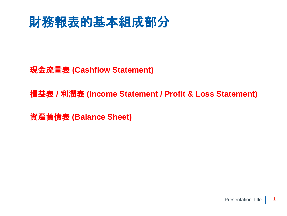

現金流量表 **(Cashflow Statement)**

損益表 **/** 利潤表 **(Income Statement / Profit & Loss Statement)**

資**產**負債表 **(Balance Sheet)**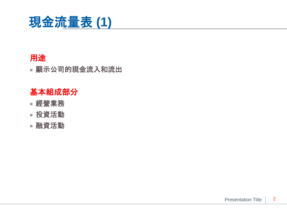

#### 用途

■ 顯示公司的現金流入和流出

### 基本組成部分

- 經營業務
- 投資活動
- 融資活動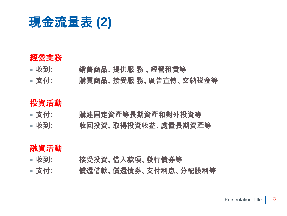

#### 經營業務

- 收到**:** 銷售商品、提供服 務 、經營租賃等
- 支付**:** 購買商品、接受服 務、廣告宣傳、交納**稅**金等

#### 投資活動

- 支付**:** 購建固定資**產**等長期資**產**和對外投資等
- 收到**:** 收回投資、取得投資收益、處置長期資**產**等

#### 融資活動

- 收到**:** 接受投資、借入款項、發行債券等
- 支付**:** 償還借款、償還債券、支付利息、分配股利等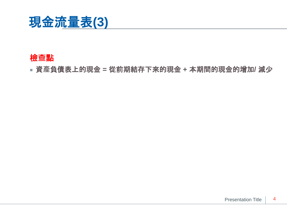

#### 檢**查**點

■ 資**產**負債表上的現金 **=** 從前期結存下來的現金 **+** 本期間的現金的增加**/** 減少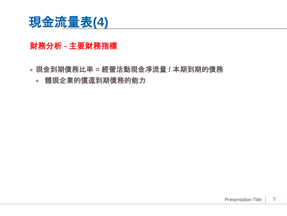

#### 財務分析 **-** 主要財務指標

- 現金到期債務比率 **=** 經營活動現金凈流量 **/** 本期到期的債務
	- 體現企業的償還到期債務的能力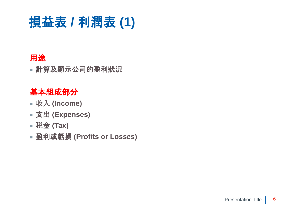# 損益表 **/** 利潤表 **(1)**

## 用途

■ 計算及顯示公司的盈利狀況

## 基本組成部分

- 收入 **(Income)**
- 支出 **(Expenses)**
- **稅**金 **(Tax)**
- 盈利或虧損 **(Profits or Losses)**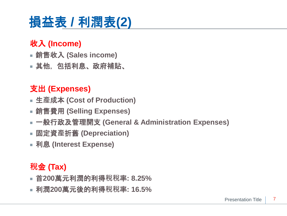# 損益表 **/** 利潤表**(2)**

## 收入 **(Income)**

- 銷售收入 **(Sales income)**
- 其他,包括利息、政府補貼、

## 支出 **(Expenses)**

- 生**產**成本 **(Cost of Production)**
- 銷售費用 **(Selling Expenses)**
- 一般行政及管理開支 **(General & Administration Expenses)**
- 固定資**產**折舊 **(Depreciation)**
- 利息 **(Interest Expense)**

## **稅**金 **(Tax)**

- 首**200**萬元利潤的利得**稅稅**率**: 8.25%**
- 利潤**200**萬元後的利得**稅稅**率**: 16.5%**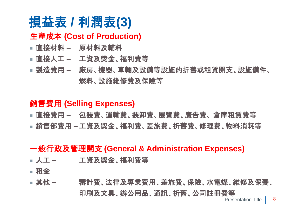# 損益表 **/** 利潤表**(3)**

## 生**產**成本 **(Cost of Production)**

- 直接材料 **–** 原材料及輔料
- 直接人工 **–** 工資及獎金、福利費等
- 製造費用 **–** 廠房、機器、車輛及設備等設施的折舊或租賃開支、設施備件、 燃料、設施維修費及保險等

### 銷售費用 **(Selling Expenses)**

- 直接費用 **–** 包裝費、運輸費、裝卸費、展覽費、廣告費、 倉庫租賃費等
- 銷售部費用 **–**工資及獎金、福利費、差旅費、折舊費、修理費、物料消耗等

### 一般行政及管理開支 **(General & Administration Expenses)**

- 人工 **–** 工資及獎金、福利費等
- 租金
- Presentation Title ■ 其他 **–** 審計費、法律及專業費用、差旅費、保險、水電煤、維修及保養、 印刷及文具、辦公用品、通訊、折舊、公司註冊費等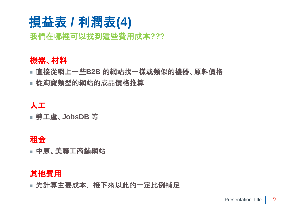# 損益表 **/** 利潤表**(4)**

## 我們在哪裡可以找到這些費用成本**???**

#### 機器、材料

- 直接從網上一些**B2B** 的網站找一樣或類似的機器、原料價格
- 從淘寶類型的網站的成品價格推算

### 人工

■ 勞工處、**JobsDB** 等

### 租金

■ 中原、美聯工商鋪網站

#### 其他費用

■ 先計算主要成本, 接下來以此的一定比例補足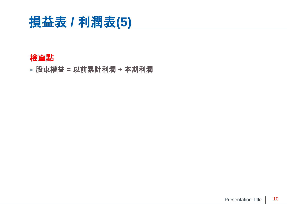

#### 檢**查**點

■ 股東權益 **=** 以前累計利潤 **+** 本期利潤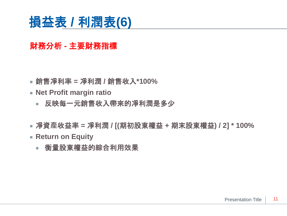## 損益表 **/** 利潤表**(6)**

## 財務分析 **-** 主要財務指標

- 銷售凈利率 **=** 凈利潤 **/** 銷售收入**\*100%**
- **Net Profit margin ratio**
	- 反映每一元銷售收入帶來的凈利潤是多少
- 凈資**產**收益率 **=** 凈利潤 **/ [(**期初股東權益 **+** 期末股東權益**) / 2] \* 100%**
- **Return on Equity**
	- 衡量股東權益的綜合利用效果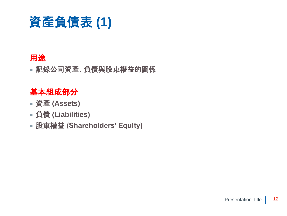

### 用途

■ 記錄公司資**產**、負債與股東權益的關係

## 基本組成部分

- 資**產 (Assets)**
- 負債 **(Liabilities)**
- 股東權益 **(Shareholders' Equity)**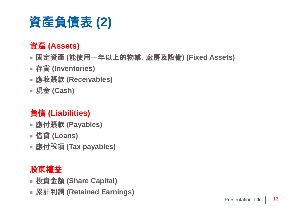# 資**產**負債表 **(2)**

## 資**產 (Assets)**

- 固定資**產 (**能使用一年以上的物業,廠房及設備**) (Fixed Assets)**
- 存貨 **(Inventories)**
- 應收賬款 **(Receivables)**
- 現金 **(Cash)**

## 負債 **(Liabilities)**

- 應付賬款 **(Payables)**
- 借貸 **(Loans)**
- 應付**稅**項 **(Tax payables)**

## 股東權益

- 投資金額 **(Share Capital)**
- 累計利潤 **(Retained Earnings)**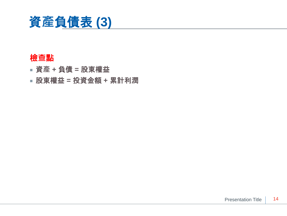

#### 檢**查**點

- 資**產 +** 負債 **=** 股東權益
- 股東權益 **=** 投資金額 **+** 累計利潤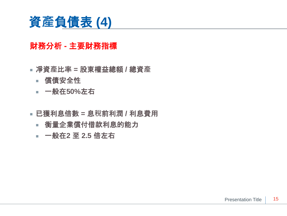## 資**產**負債表 **(4)**

### 財務分析 **-** 主要財務指標

- 凈資**產**比率 **=** 股東權益總額 **/** 總資**產**
	- 償債安全性
	- 一般在**50%**左右
- 已獲利息倍數 **=** 息**稅**前利潤 **/** 利息費用
	- 衡量企業償付借款利息的能力
	- 一般在2 至 2.5 倍左右